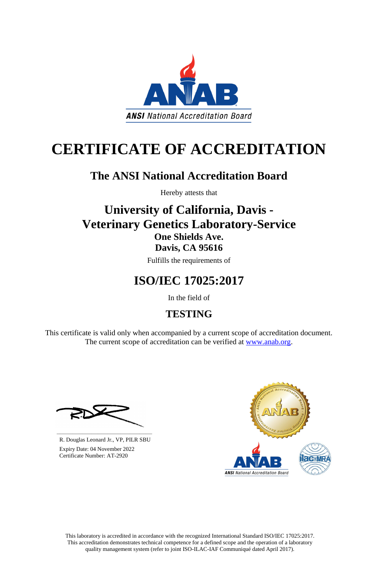This laboratory is accredited in accordance with the recognized International Standard ISO/IEC 17025:2017. This accreditation demonstrates technical competence for a defined scope and the operation of a laboratory quality management system (refer to joint ISO-ILAC-IAF Communiqué dated April 2017).

This certificate is valid only when accompanied by a current scope of accreditation document. The current scope of accreditation can be verified at [www.anab.org.](http://www.anab.org/)







# **CERTIFICATE OF ACCREDITATION**

## **The ANSI National Accreditation Board**

Hereby attests that

### **University of California, Davis - Veterinary Genetics Laboratory-Service One Shields Ave. Davis, CA 95616**

Fulfills the requirements of

# **ISO/IEC 17025:2017**

In the field of

### **TESTING**

**\_\_\_\_\_\_\_\_\_\_\_\_\_\_\_\_\_\_\_\_\_\_\_\_\_\_\_\_\_\_** R. Douglas Leonard Jr., VP, PILR SBU

 Expiry Date: 04 November 2022 Certificate Number: AT-2920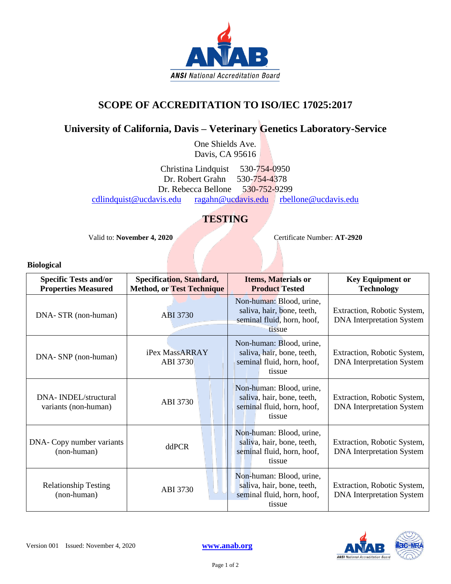

### **SCOPE OF ACCREDITATION TO ISO/IEC 17025:2017**

### **University of California, Davis – Veterinary Genetics Laboratory-Service**

One Shields Ave. Davis, CA 95616

Christina Lindquist 530-754-0950 Dr. Robert Grahn 530-754-4378 Dr. Rebecca Bellone 530-752-9299 [cdlindquist@ucdavis.edu](mailto:cdlindquist@ucdavis.edu) [ragahn@ucdavis.edu](mailto:ragahn@ucdavis.edu) [rbellone@ucdavis.edu](mailto:rbellone@ucdavis.edu)

### **TESTING**

Valid to: **November 4, 2020** Certificate Number: **AT-2920** 

#### **Biological**

| <b>Specific Tests and/or</b><br><b>Properties Measured</b> | <b>Specification, Standard,</b><br><b>Method, or Test Technique</b> | <b>Items, Materials or</b><br><b>Product Tested</b>                                            | <b>Key Equipment or</b><br><b>Technology</b>                    |
|------------------------------------------------------------|---------------------------------------------------------------------|------------------------------------------------------------------------------------------------|-----------------------------------------------------------------|
| DNA- STR (non-human)                                       | ABI 3730                                                            | Non-human: Blood, urine,<br>saliva, hair, bone, teeth,<br>seminal fluid, horn, hoof,<br>tissue | Extraction, Robotic System,<br><b>DNA</b> Interpretation System |
| DNA- SNP (non-human)                                       | iPex MassARRAY<br>ABI 3730                                          | Non-human: Blood, urine,<br>saliva, hair, bone, teeth,<br>seminal fluid, horn, hoof,<br>tissue | Extraction, Robotic System,<br><b>DNA</b> Interpretation System |
| DNA-INDEL/structural<br>variants (non-human)               | ABI 3730                                                            | Non-human: Blood, urine,<br>saliva, hair, bone, teeth,<br>seminal fluid, horn, hoof,<br>tissue | Extraction, Robotic System,<br><b>DNA</b> Interpretation System |
| DNA- Copy number variants<br>(non-human)                   | ddPCR                                                               | Non-human: Blood, urine,<br>saliva, hair, bone, teeth,<br>seminal fluid, horn, hoof,<br>tissue | Extraction, Robotic System,<br><b>DNA</b> Interpretation System |
| <b>Relationship Testing</b><br>(non-human)                 | ABI 3730                                                            | Non-human: Blood, urine,<br>saliva, hair, bone, teeth,<br>seminal fluid, horn, hoof,<br>tissue | Extraction, Robotic System,<br><b>DNA</b> Interpretation System |